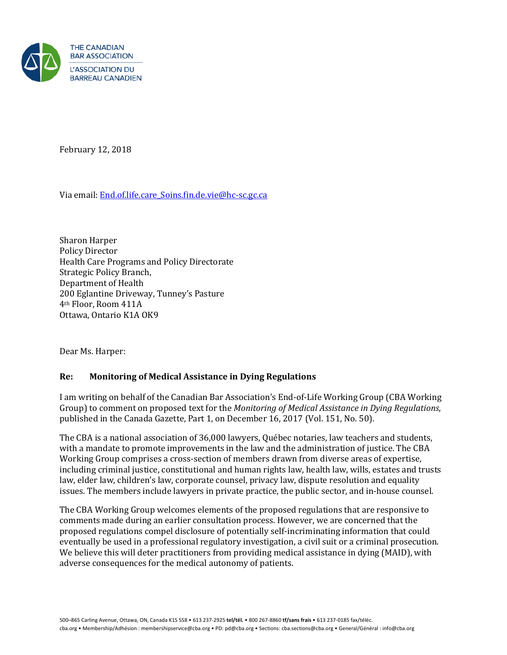

February 12, 2018

Via email: **End.of.life.care Soins.fin.de.vie@hc-sc.gc.ca** 

Sharon Harper Policy Director Health Care Programs and Policy Directorate Strategic Policy Branch, Department of Health 200 Eglantine Driveway, Tunney's Pasture 4th Floor, Room 411A Ottawa, Ontario K1A OK9

Dear Ms. Harper:

# **Re: Monitoring of Medical Assistance in Dying Regulations**

I am writing on behalf of the Canadian Bar Association's End-of-Life Working Group (CBA Working Group) to comment on proposed text for the *Monitoring of Medical Assistance in Dying Regulations*, published in the Canada Gazette, Part 1, on December 16, 2017 (Vol. 151, No. 50).

The CBA is a national association of 36,000 lawyers, Québec notaries, law teachers and students, with a mandate to promote improvements in the law and the administration of justice. The CBA Working Group comprises a cross-section of members drawn from diverse areas of expertise, including criminal justice, constitutional and human rights law, health law, wills, estates and trusts law, elder law, children's law, corporate counsel, privacy law, dispute resolution and equality issues. The members include lawyers in private practice, the public sector, and in-house counsel.

The CBA Working Group welcomes elements of the proposed regulations that are responsive to comments made during an earlier consultation process. However, we are concerned that the proposed regulations compel disclosure of potentially self-incriminating information that could eventually be used in a professional regulatory investigation, a civil suit or a criminal prosecution. We believe this will deter practitioners from providing medical assistance in dying (MAID), with adverse consequences for the medical autonomy of patients.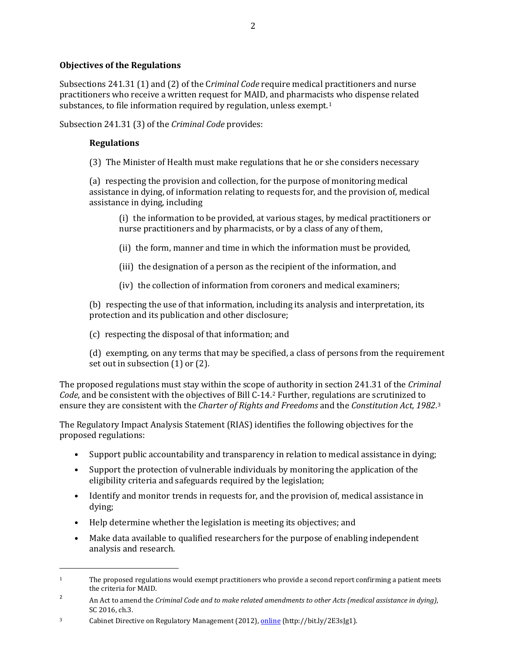# **Objectives of the Regulations**

Subsections 241.31 (1) and (2) of the C*riminal Code* require medical practitioners and nurse practitioners who receive a written request for MAID, and pharmacists who dispense related substances, to file information required by regulation, unless exempt.<sup>[1](#page-1-0)</sup>

Subsection 241.31 (3) of the *Criminal Code* provides:

### **Regulations**

 $\overline{\phantom{a}}$ 

(3) The Minister of Health must make regulations that he or she considers necessary

(a) respecting the provision and collection, for the purpose of monitoring medical assistance in dying, of information relating to requests for, and the provision of, medical assistance in dying, including

(i) the information to be provided, at various stages, by medical practitioners or nurse practitioners and by pharmacists, or by a class of any of them,

- (ii) the form, manner and time in which the information must be provided,
- (iii) the designation of a person as the recipient of the information, and
- (iv) the collection of information from coroners and medical examiners;

(b) respecting the use of that information, including its analysis and interpretation, its protection and its publication and other disclosure;

(c) respecting the disposal of that information; and

(d) exempting, on any terms that may be specified, a class of persons from the requirement set out in subsection (1) or (2).

The proposed regulations must stay within the scope of authority in section 241.31 of the *Criminal Code*, and be consistent with the objectives of Bill C-14.[2](#page-1-1) Further, regulations are scrutinized to ensure they are consistent with the *Charter of Rights and Freedoms* and the *Constitution Act, 1982*.[3](#page-1-2) 

The Regulatory Impact Analysis Statement (RIAS) identifies the following objectives for the proposed regulations:

- Support public accountability and transparency in relation to medical assistance in dying;
- Support the protection of vulnerable individuals by monitoring the application of the eligibility criteria and safeguards required by the legislation;
- Identify and monitor trends in requests for, and the provision of, medical assistance in dying;
- Help determine whether the legislation is meeting its objectives; and
- Make data available to qualified researchers for the purpose of enabling independent analysis and research.

<span id="page-1-0"></span><sup>&</sup>lt;sup>1</sup> The proposed regulations would exempt practitioners who provide a second report confirming a patient meets the criteria for MAID.

<span id="page-1-1"></span><sup>2</sup> An Act to amend the *Criminal Code and to make related amendments to other Acts (medical assistance in dying)*, SC 2016, ch.3.

<span id="page-1-2"></span><sup>3</sup> Cabinet Directive on Regulatory Management (2012)[, online](https://www.canada.ca/en/treasury-board-secretariat/services/federal-regulatory-management/guidelines-tools/cabinet-directive-regulatory-management.html) (http://bit.ly/2E3sJg1).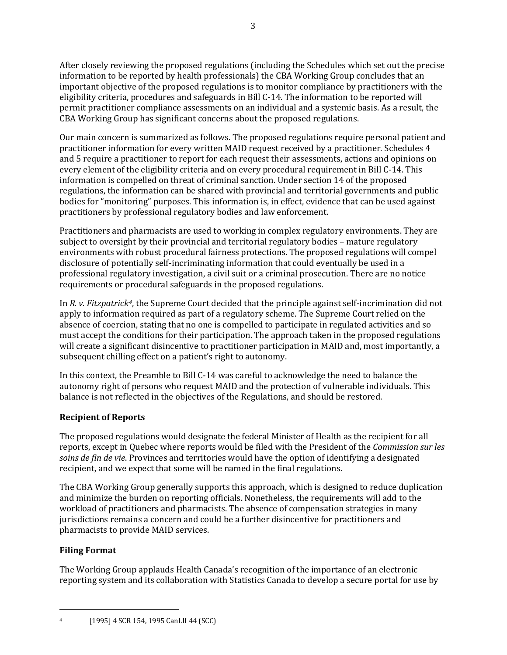After closely reviewing the proposed regulations (including the Schedules which set out the precise information to be reported by health professionals) the CBA Working Group concludes that an important objective of the proposed regulations is to monitor compliance by practitioners with the eligibility criteria, procedures and safeguards in Bill C-14. The information to be reported will permit practitioner compliance assessments on an individual and a systemic basis. As a result, the CBA Working Group has significant concerns about the proposed regulations.

Our main concern is summarized as follows. The proposed regulations require personal patient and practitioner information for every written MAID request received by a practitioner. Schedules 4 and 5 require a practitioner to report for each request their assessments, actions and opinions on every element of the eligibility criteria and on every procedural requirement in Bill C-14. This information is compelled on threat of criminal sanction. Under section 14 of the proposed regulations, the information can be shared with provincial and territorial governments and public bodies for "monitoring" purposes. This information is, in effect, evidence that can be used against practitioners by professional regulatory bodies and law enforcement.

Practitioners and pharmacists are used to working in complex regulatory environments. They are subject to oversight by their provincial and territorial regulatory bodies – mature regulatory environments with robust procedural fairness protections. The proposed regulations will compel disclosure of potentially self-incriminating information that could eventually be used in a professional regulatory investigation, a civil suit or a criminal prosecution. There are no notice requirements or procedural safeguards in the proposed regulations.

In *R. v. Fitzpatrick[4](#page-2-0)*, the Supreme Court decided that the principle against self-incrimination did not apply to information required as part of a regulatory scheme. The Supreme Court relied on the absence of coercion, stating that no one is compelled to participate in regulated activities and so must accept the conditions for their participation. The approach taken in the proposed regulations will create a significant disincentive to practitioner participation in MAID and, most importantly, a subsequent chilling effect on a patient's right to autonomy.

In this context, the Preamble to Bill C-14 was careful to acknowledge the need to balance the autonomy right of persons who request MAID and the protection of vulnerable individuals. This balance is not reflected in the objectives of the Regulations, and should be restored.

# **Recipient of Reports**

The proposed regulations would designate the federal Minister of Health as the recipient for all reports, except in Quebec where reports would be filed with the President of the *Commission sur les soins de fin de vie*. Provinces and territories would have the option of identifying a designated recipient, and we expect that some will be named in the final regulations.

The CBA Working Group generally supports this approach, which is designed to reduce duplication and minimize the burden on reporting officials. Nonetheless, the requirements will add to the workload of practitioners and pharmacists. The absence of compensation strategies in many jurisdictions remains a concern and could be a further disincentive for practitioners and pharmacists to provide MAID services.

# **Filing Format**

 $\overline{\phantom{a}}$ 

The Working Group applauds Health Canada's recognition of the importance of an electronic reporting system and its collaboration with Statistics Canada to develop a secure portal for use by

<span id="page-2-0"></span><sup>4 [1995] 4</sup> SCR 154, 1995 CanLII 44 (SCC)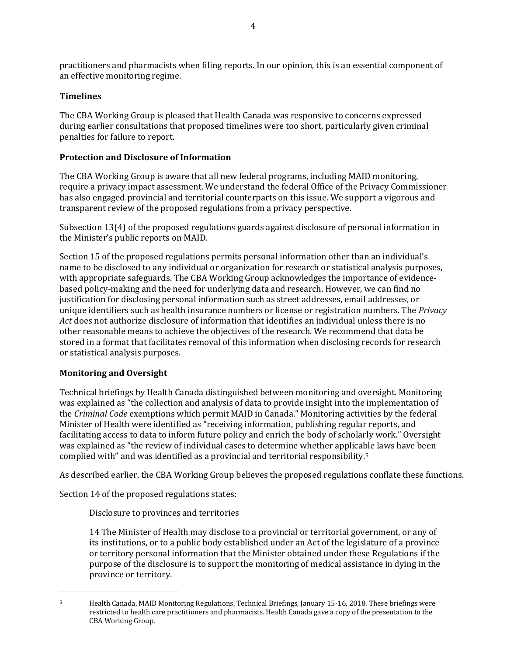practitioners and pharmacists when filing reports. In our opinion, this is an essential component of an effective monitoring regime.

# **Timelines**

The CBA Working Group is pleased that Health Canada was responsive to concerns expressed during earlier consultations that proposed timelines were too short, particularly given criminal penalties for failure to report.

# **Protection and Disclosure of Information**

The CBA Working Group is aware that all new federal programs, including MAID monitoring, require a privacy impact assessment. We understand the federal Office of the Privacy Commissioner has also engaged provincial and territorial counterparts on this issue. We support a vigorous and transparent review of the proposed regulations from a privacy perspective.

Subsection 13(4) of the proposed regulations guards against disclosure of personal information in the Minister's public reports on MAID.

Section 15 of the proposed regulations permits personal information other than an individual's name to be disclosed to any individual or organization for research or statistical analysis purposes, with appropriate safeguards. The CBA Working Group acknowledges the importance of evidencebased policy-making and the need for underlying data and research. However, we can find no justification for disclosing personal information such as street addresses, email addresses, or unique identifiers such as health insurance numbers or license or registration numbers. The *Privacy Act* does not authorize disclosure of information that identifies an individual unless there is no other reasonable means to achieve the objectives of the research. We recommend that data be stored in a format that facilitates removal of this information when disclosing records for research or statistical analysis purposes.

# **Monitoring and Oversight**

l

Technical briefings by Health Canada distinguished between monitoring and oversight. Monitoring was explained as "the collection and analysis of data to provide insight into the implementation of the *Criminal Code* exemptions which permit MAID in Canada." Monitoring activities by the federal Minister of Health were identified as "receiving information, publishing regular reports, and facilitating access to data to inform future policy and enrich the body of scholarly work." Oversight was explained as "the review of individual cases to determine whether applicable laws have been complied with" and was identified as a provincial and territorial responsibility.[5](#page-3-0) 

As described earlier, the CBA Working Group believes the proposed regulations conflate these functions.

Section 14 of the proposed regulations states:

Disclosure to provinces and territories

14 The Minister of Health may disclose to a provincial or territorial government, or any of its institutions, or to a public body established under an Act of the legislature of a province or territory personal information that the Minister obtained under these Regulations if the purpose of the disclosure is to support the monitoring of medical assistance in dying in the province or territory.

<span id="page-3-0"></span><sup>5</sup> Health Canada, MAID Monitoring Regulations, Technical Briefings, January 15-16, 2018. These briefings were restricted to health care practitioners and pharmacists. Health Canada gave a copy of the presentation to the CBA Working Group.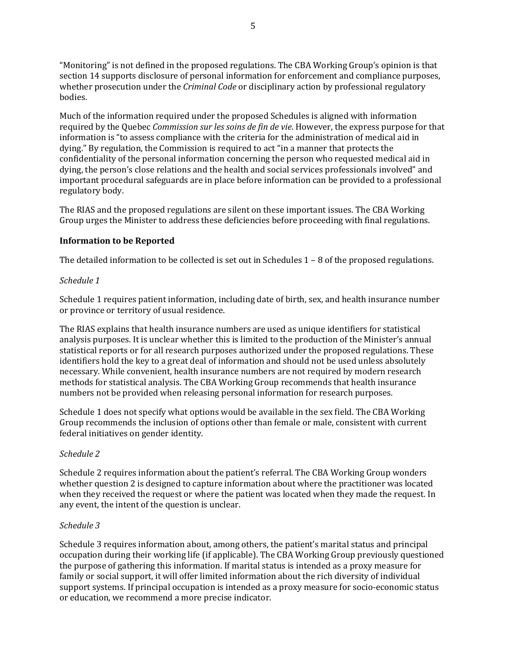"Monitoring" is not defined in the proposed regulations. The CBA Working Group's opinion is that section 14 supports disclosure of personal information for enforcement and compliance purposes, whether prosecution under the *Criminal Code* or disciplinary action by professional regulatory bodies.

Much of the information required under the proposed Schedules is aligned with information required by the Quebec *Commission sur les soins de fin de vie*. However, the express purpose for that information is "to assess compliance with the criteria for the administration of medical aid in dying." By regulation, the Commission is required to act "in a manner that protects the confidentiality of the personal information concerning the person who requested medical aid in dying, the person's close relations and the health and social services professionals involved" and important procedural safeguards are in place before information can be provided to a professional regulatory body.

The RIAS and the proposed regulations are silent on these important issues. The CBA Working Group urges the Minister to address these deficiencies before proceeding with final regulations.

# **Information to be Reported**

The detailed information to be collected is set out in Schedules 1 – 8 of the proposed regulations.

#### *Schedule 1*

Schedule 1 requires patient information, including date of birth, sex, and health insurance number or province or territory of usual residence.

The RIAS explains that health insurance numbers are used as unique identifiers for statistical analysis purposes. It is unclear whether this is limited to the production of the Minister's annual statistical reports or for all research purposes authorized under the proposed regulations. These identifiers hold the key to a great deal of information and should not be used unless absolutely necessary. While convenient, health insurance numbers are not required by modern research methods for statistical analysis. The CBA Working Group recommends that health insurance numbers not be provided when releasing personal information for research purposes.

Schedule 1 does not specify what options would be available in the sex field. The CBA Working Group recommends the inclusion of options other than female or male, consistent with current federal initiatives on gender identity.

#### *Schedule 2*

Schedule 2 requires information about the patient's referral. The CBA Working Group wonders whether question 2 is designed to capture information about where the practitioner was located when they received the request or where the patient was located when they made the request. In any event, the intent of the question is unclear.

#### *Schedule 3*

Schedule 3 requires information about, among others, the patient's marital status and principal occupation during their working life (if applicable). The CBA Working Group previously questioned the purpose of gathering this information. If marital status is intended as a proxy measure for family or social support, it will offer limited information about the rich diversity of individual support systems. If principal occupation is intended as a proxy measure for socio-economic status or education, we recommend a more precise indicator.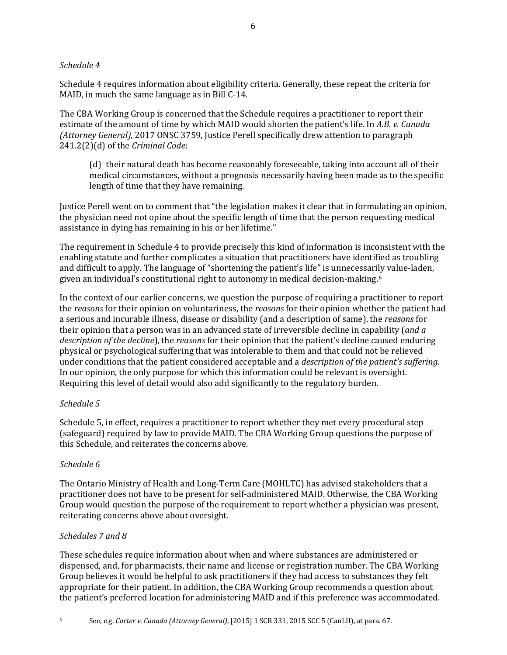# *Schedule 4*

Schedule 4 requires information about eligibility criteria. Generally, these repeat the criteria for MAID, in much the same language as in Bill C-14.

The CBA Working Group is concerned that the Schedule requires a practitioner to report their estimate of the amount of time by which MAID would shorten the patient's life. In *A.B. v. Canada (Attorney General)*, 2017 ONSC 3759, Justice Perell specifically drew attention to paragraph 241.2(2)(d) of the *Criminal Code*:

(d) their natural death has become reasonably foreseeable, taking into account all of their medical circumstances, without a prognosis necessarily having been made as to the specific length of time that they have remaining.

Justice Perell went on to comment that "the legislation makes it clear that in formulating an opinion, the physician need not opine about the specific length of time that the person requesting medical assistance in dying has remaining in his or her lifetime."

The requirement in Schedule 4 to provide precisely this kind of information is inconsistent with the enabling statute and further complicates a situation that practitioners have identified as troubling and difficult to apply. The language of "shortening the patient's life" is unnecessarily value-laden, given an individual's constitutional right to autonomy in medical decision-making.[6](#page-5-0)

In the context of our earlier concerns, we question the purpose of requiring a practitioner to report the *reasons* for their opinion on voluntariness, the *reasons* for their opinion whether the patient had a serious and incurable illness, disease or disability (and a description of same), the *reasons* for their opinion that a person was in an advanced state of irreversible decline in capability (*and a description of the decline*), the *reasons* for their opinion that the patient's decline caused enduring physical or psychological suffering that was intolerable to them and that could not be relieved under conditions that the patient considered acceptable and a *description of the patient's suffering*. In our opinion, the only purpose for which this information could be relevant is oversight. Requiring this level of detail would also add significantly to the regulatory burden.

# *Schedule 5*

Schedule 5, in effect, requires a practitioner to report whether they met every procedural step (safeguard) required by law to provide MAID. The CBA Working Group questions the purpose of this Schedule, and reiterates the concerns above.

# *Schedule 6*

The Ontario Ministry of Health and Long-Term Care (MOHLTC) has advised stakeholders that a practitioner does not have to be present for self-administered MAID. Otherwise, the CBA Working Group would question the purpose of the requirement to report whether a physician was present, reiterating concerns above about oversight.

# *Schedules 7 and 8*

These schedules require information about when and where substances are administered or dispensed, and, for pharmacists, their name and license or registration number. The CBA Working Group believes it would be helpful to ask practitioners if they had access to substances they felt appropriate for their patient. In addition, the CBA Working Group recommends a question about the patient's preferred location for administering MAID and if this preference was accommodated.

 $\overline{\phantom{a}}$ 

<span id="page-5-0"></span><sup>6</sup> See, e.g. *Carter v. Canada (Attorney General)*, [2015] 1 SCR 331, 2015 SCC 5 (CanLII), at para. 67.